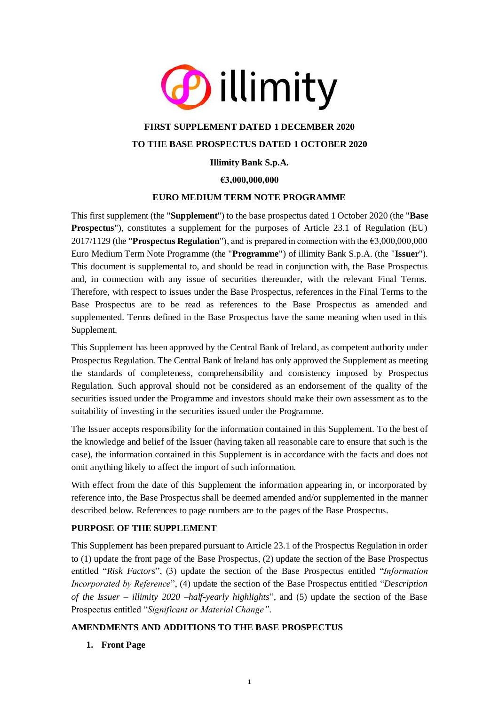

# **FIRST SUPPLEMENT DATED 1 DECEMBER 2020 TO THE BASE PROSPECTUS DATED 1 OCTOBER 2020**

# **Illimity Bank S.p.A.**

# **€3,000,000,000**

### **EURO MEDIUM TERM NOTE PROGRAMME**

This first supplement (the "**Supplement**") to the base prospectus dated 1 October 2020 (the "**Base Prospectus**"), constitutes a supplement for the purposes of Article 23.1 of Regulation (EU) 2017/1129 (the "**Prospectus Regulation**"), and is prepared in connection with the €3,000,000,000 Euro Medium Term Note Programme (the "**Programme**") of illimity Bank S.p.A. (the "**Issuer**"). This document is supplemental to, and should be read in conjunction with, the Base Prospectus and, in connection with any issue of securities thereunder, with the relevant Final Terms. Therefore, with respect to issues under the Base Prospectus, references in the Final Terms to the Base Prospectus are to be read as references to the Base Prospectus as amended and supplemented. Terms defined in the Base Prospectus have the same meaning when used in this Supplement.

This Supplement has been approved by the Central Bank of Ireland, as competent authority under Prospectus Regulation. The Central Bank of Ireland has only approved the Supplement as meeting the standards of completeness, comprehensibility and consistency imposed by Prospectus Regulation. Such approval should not be considered as an endorsement of the quality of the securities issued under the Programme and investors should make their own assessment as to the suitability of investing in the securities issued under the Programme.

The Issuer accepts responsibility for the information contained in this Supplement. To the best of the knowledge and belief of the Issuer (having taken all reasonable care to ensure that such is the case), the information contained in this Supplement is in accordance with the facts and does not omit anything likely to affect the import of such information.

With effect from the date of this Supplement the information appearing in, or incorporated by reference into, the Base Prospectus shall be deemed amended and/or supplemented in the manner described below. References to page numbers are to the pages of the Base Prospectus.

### **PURPOSE OF THE SUPPLEMENT**

This Supplement has been prepared pursuant to Article 23.1 of the Prospectus Regulation in order to (1) update the front page of the Base Prospectus, (2) update the section of the Base Prospectus entitled "*Risk Factors*", (3) update the section of the Base Prospectus entitled "*Information Incorporated by Reference*", (4) update the section of the Base Prospectus entitled "*Description of the Issuer – illimity 2020 –half-yearly highlights*", and (5) update the section of the Base Prospectus entitled "*Significant or Material Change"*.

### **AMENDMENTS AND ADDITIONS TO THE BASE PROSPECTUS**

### **1. Front Page**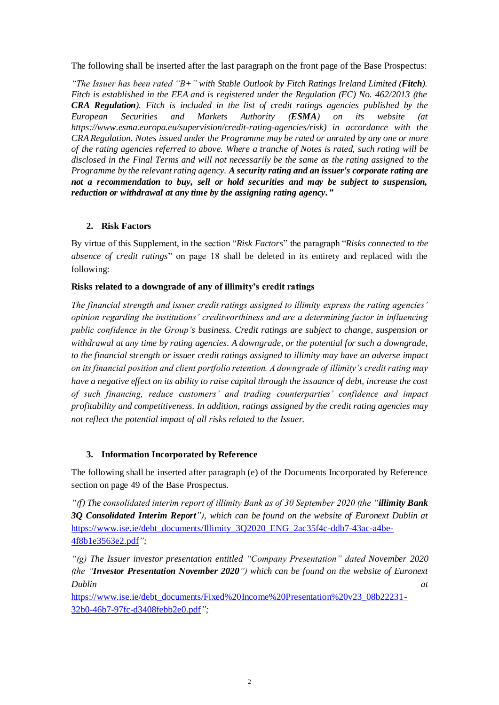The following shall be inserted after the last paragraph on the front page of the Base Prospectus:

*"The Issuer has been rated "B+" with Stable Outlook by Fitch Ratings Ireland Limited (Fitch). Fitch is established in the EEA and is registered under the Regulation (EC) No. 462/2013 (the CRA Regulation). Fitch is included in the list of credit ratings agencies published by the European Securities and Markets Authority (ESMA) on its website (at https://www.esma.europa.eu/supervision/credit-rating-agencies/risk) in accordance with the CRA Regulation. Notes issued under the Programme may be rated or unrated by any one or more of the rating agencies referred to above. Where a tranche of Notes is rated, such rating will be disclosed in the Final Terms and will not necessarily be the same as the rating assigned to the Programme by the relevant rating agency. A security rating and an issuer's corporate rating are not a recommendation to buy, sell or hold securities and may be subject to suspension, reduction or withdrawal at any time by the assigning rating agency."*

### **2. Risk Factors**

By virtue of this Supplement, in the section "*Risk Factors*" the paragraph "*Risks connected to the absence of credit ratings*" on page 18 shall be deleted in its entirety and replaced with the following:

### **Risks related to a downgrade of any of illimity's credit ratings**

*The financial strength and issuer credit ratings assigned to illimity express the rating agencies' opinion regarding the institutions' creditworthiness and are a determining factor in influencing public confidence in the Group's business. Credit ratings are subject to change, suspension or withdrawal at any time by rating agencies. A downgrade, or the potential for such a downgrade, to the financial strength or issuer credit ratings assigned to illimity may have an adverse impact on its financial position and client portfolio retention. A downgrade of illimity's credit rating may have a negative effect on its ability to raise capital through the issuance of debt, increase the cost of such financing, reduce customers' and trading counterparties' confidence and impact profitability and competitiveness. In addition, ratings assigned by the credit rating agencies may not reflect the potential impact of all risks related to the Issuer.*

### **3. Information Incorporated by Reference**

The following shall be inserted after paragraph (e) of the Documents Incorporated by Reference section on page 49 of the Base Prospectus.

*"(f) The consolidated interim report of illimity Bank as of 30 September 2020 (the "illimity Bank 3Q Consolidated Interim Report"), which can be found on the website of Euronext Dublin at*  [https://www.ise.ie/debt\\_documents/Illimity\\_3Q2020\\_ENG\\_2ac35f4c-ddb7-43ac-a4be-](https://www.ise.ie/debt_documents/Illimity_3Q2020_ENG_2ac35f4c-ddb7-43ac-a4be-4f8b1e3563e2.pdf)[4f8b1e3563e2.pdf](https://www.ise.ie/debt_documents/Illimity_3Q2020_ENG_2ac35f4c-ddb7-43ac-a4be-4f8b1e3563e2.pdf)*";*

*"(g) The Issuer investor presentation entitled "Company Presentation" dated November 2020 (the "Investor Presentation November 2020") which can be found on the website of Euronext Dublin at*

[https://www.ise.ie/debt\\_documents/Fixed%20Income%20Presentation%20v23\\_08b22231-](https://www.ise.ie/debt_documents/Fixed%20Income%20Presentation%20v23_08b22231-32b0-46b7-97fc-d3408febb2e0.pdf) [32b0-46b7-97fc-d3408febb2e0.pdf](https://www.ise.ie/debt_documents/Fixed%20Income%20Presentation%20v23_08b22231-32b0-46b7-97fc-d3408febb2e0.pdf)*";*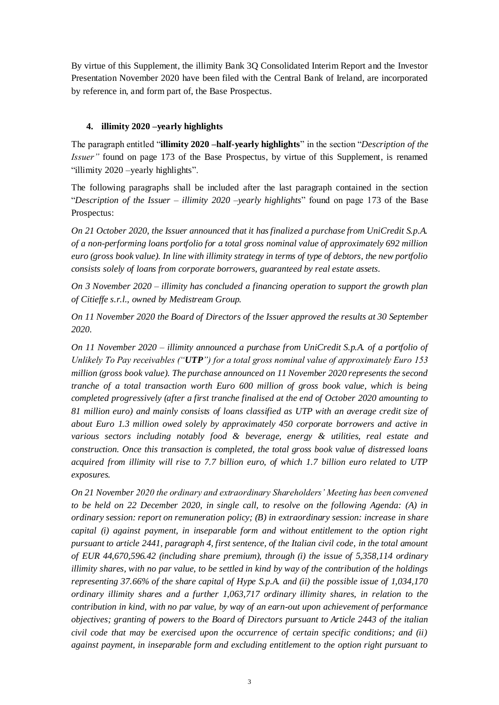By virtue of this Supplement, the illimity Bank 3Q Consolidated Interim Report and the Investor Presentation November 2020 have been filed with the Central Bank of Ireland, are incorporated by reference in, and form part of, the Base Prospectus.

# **4. illimity 2020 –yearly highlights**

The paragraph entitled "**illimity 2020 –half-yearly highlights**" in the section "*Description of the Issuer"* found on page 173 of the Base Prospectus, by virtue of this Supplement, is renamed "illimity 2020 –yearly highlights".

The following paragraphs shall be included after the last paragraph contained in the section "*Description of the Issuer – illimity 2020 –yearly highlights*" found on page 173 of the Base Prospectus:

*On 21 October 2020, the Issuer announced that it has finalized a purchase from UniCredit S.p.A. of a non-performing loans portfolio for a total gross nominal value of approximately 692 million euro (gross book value). In line with illimity strategy in terms of type of debtors, the new portfolio consists solely of loans from corporate borrowers, guaranteed by real estate assets.*

*On 3 November 2020 – illimity has concluded a financing operation to support the growth plan of Citieffe s.r.l., owned by Medistream Group.*

*On 11 November 2020 the Board of Directors of the Issuer approved the results at 30 September 2020.*

*On 11 November 2020 – illimity announced a purchase from UniCredit S.p.A. of a portfolio of Unlikely To Pay receivables ("UTP") for a total gross nominal value of approximately Euro 153 million (gross book value). The purchase announced on 11 November 2020 represents the second tranche of a total transaction worth Euro 600 million of gross book value, which is being completed progressively (after a first tranche finalised at the end of October 2020 amounting to 81 million euro) and mainly consists of loans classified as UTP with an average credit size of about Euro 1.3 million owed solely by approximately 450 corporate borrowers and active in various sectors including notably food & beverage, energy & utilities, real estate and construction. Once this transaction is completed, the total gross book value of distressed loans acquired from illimity will rise to 7.7 billion euro, of which 1.7 billion euro related to UTP exposures.*

*On 21 November 2020 the ordinary and extraordinary Shareholders' Meeting has been convened to be held on 22 December 2020, in single call, to resolve on the following Agenda: (A) in ordinary session: report on remuneration policy; (B) in extraordinary session: increase in share capital (i) against payment, in inseparable form and without entitlement to the option right pursuant to article 2441, paragraph 4, first sentence, of the Italian civil code, in the total amount of EUR 44,670,596.42 (including share premium), through (i) the issue of 5,358,114 ordinary illimity shares, with no par value, to be settled in kind by way of the contribution of the holdings representing 37.66% of the share capital of Hype S.p.A. and (ii) the possible issue of 1,034,170 ordinary illimity shares and a further 1,063,717 ordinary illimity shares, in relation to the contribution in kind, with no par value, by way of an earn-out upon achievement of performance objectives; granting of powers to the Board of Directors pursuant to Article 2443 of the italian civil code that may be exercised upon the occurrence of certain specific conditions; and (ii) against payment, in inseparable form and excluding entitlement to the option right pursuant to*